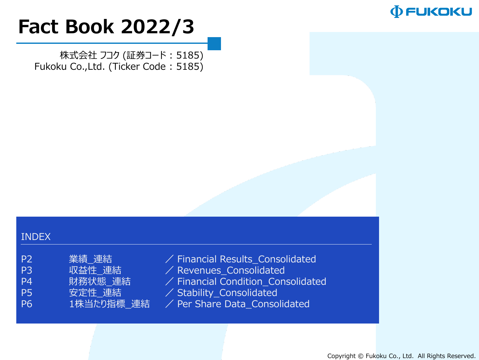

# **Fact Book 2022/3**

株式会社 フコク (証券コード : 5185) Fukoku Co.,Ltd. (Ticker Code : 5185)

#### INDEX

| P <sub>2</sub> | 業績 連結     |
|----------------|-----------|
| P3             | 収益性 連結    |
| P4             | 財務状態 連結   |
| P5             | 安定性 連結    |
| P <sub>6</sub> | 1株当たり指標 週 |

 $\angle$  Financial Results\_Consolidated  $\angle$  Revenues\_Consolidated  $\angle$  Financial Condition\_Consolidated

- $\angle$  Stability\_Consolidated
- E結 / Per Share Data\_Consolidated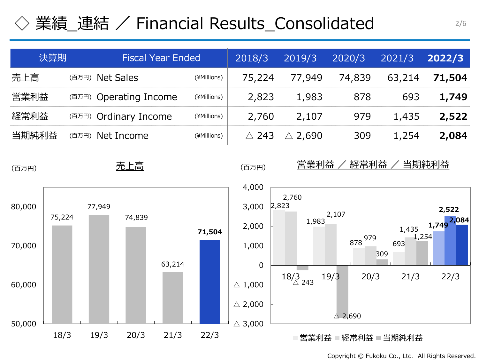### 業績\_連結 / Financial Results\_Consolidated  $\frac{2}{6}$

| 決算期   | <b>Fiscal Year Ended</b> |             | 2018/3 | 2019/3                            | 2020/3 | 2021/3 | 2022/3 |
|-------|--------------------------|-------------|--------|-----------------------------------|--------|--------|--------|
| 売上高   | (百万円) Net Sales          | (¥Millions) | 75,224 | 77,949                            | 74,839 | 63,214 | 71,504 |
| 営業利益  | (百万円) Operating Income   | (¥Millions) | 2,823  | 1,983                             | 878    | 693    | 1,749  |
| 経常利益  | (百万円) Ordinary Income    | (¥Millions) | 2,760  | 2,107                             | 979    | 1,435  | 2,522  |
| 当期純利益 | (百万円) Net Income         | (¥Millions) |        | $\triangle$ 243 $\triangle$ 2,690 | 309    | 1,254  | 2,084  |



Copyright © Fukoku Co., Ltd. All Rights Reserved.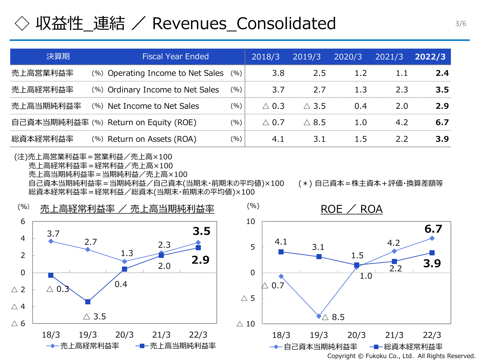#### 収益性 連結 / Revenues Consolidated

| 決算期       | <b>Fiscal Year Ended</b>              |     | 2018/3          | 2019/3          | 2020/3           | 2021/3 | 2022/3 |
|-----------|---------------------------------------|-----|-----------------|-----------------|------------------|--------|--------|
| 売上高営業利益率  | (%) Operating Income to Net Sales     | (%) | 3.8             | 2.5             | 1.2 <sub>1</sub> | 1.1    | 2.4    |
| 売上高経常利益率  | (%) Ordinary Income to Net Sales      | (%) | 3.7             | 2.7             | 1.3              | 2.3    | 3.5    |
| 売上高当期純利益率 | (%) Net Income to Net Sales           | (%) | $\triangle$ 0.3 | $\triangle$ 3.5 | 0.4              | 2.0    | 2.9    |
|           | 自己資本当期純利益率 (%) Return on Equity (ROE) | (%) | $\triangle$ 0.7 | $\triangle$ 8.5 | 1.0              | 4.2    | 6.7    |
| 総資本経常利益率  | (%) Return on Assets (ROA)            | (%) | 4.1             | 3.1             | 1.5              | 2.2    | 3.9    |

(注)売上高営業利益率=営業利益/売上高×100 売上高経常利益率=経常利益/売上高×100 売上高当期純利益率=当期純利益/売上高×100 自己資本当期純利益率=当期純利益/自己資本(当期末・前期末の平均値)×100 (\*) 自己資本=株主資本+評価・換算差額等 総資本経常利益率=経常利益/総資本(当期末・前期末の平均値)×100

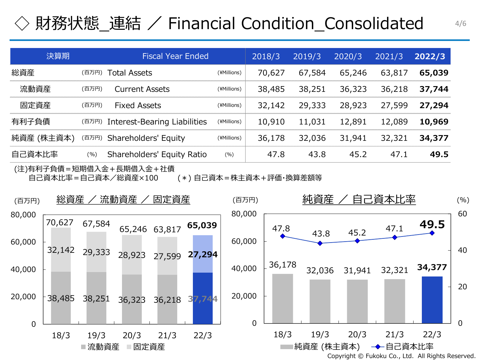### 財務状態 連結 / Financial Condition Consolidated 4/6

| 決算期        | <b>Fiscal Year Ended</b>                     |             | 2018/3 | 2019/3 | 2020/3 | 2021/3 | 2022/3 |
|------------|----------------------------------------------|-------------|--------|--------|--------|--------|--------|
| 総資産        | Total Assets<br>(百万円)                        | (¥Millions) | 70,627 | 67,584 | 65,246 | 63,817 | 65,039 |
| 流動資産       | (百万円)<br><b>Current Assets</b>               | (¥Millions) | 38,485 | 38,251 | 36,323 | 36,218 | 37,744 |
| 固定資産       | <b>Fixed Assets</b><br>(百万円)                 | (¥Millions) | 32,142 | 29,333 | 28,923 | 27,599 | 27,294 |
| 有利子負債      | <b>Interest-Bearing Liabilities</b><br>(百万円) | (¥Millions) | 10,910 | 11,031 | 12,891 | 12,089 | 10,969 |
| 純資産 (株主資本) | Shareholders' Equity<br>(百万円)                | (¥Millions) | 36,178 | 32,036 | 31,941 | 32,321 | 34,377 |
| 自己資本比率     | Shareholders' Equity Ratio<br>(% )           | (%)         | 47.8   | 43.8   | 45.2   | 47.1   | 49.5   |

(注)有利子負債=短期借入金+長期借入金+社債 自己資本比率=自己資本/総資産×100 (\*) 自己資本=株主資本+評価・換算差額等

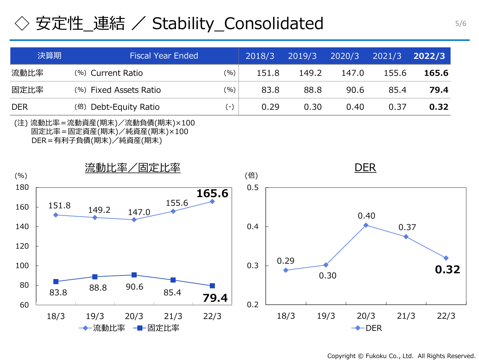## ◇ 安定性\_連結 / Stability\_Consolidated 5/6

| 決算期        | <b>Fiscal Year Ended</b> |       | 2018/3 | 2019/3 | 2020/3 | 2021/3 | 2022/3 |
|------------|--------------------------|-------|--------|--------|--------|--------|--------|
| 流動比率       | (%) Current Ratio        | (%)   | 151.8  | 149.2  | 147.0  | 155.6  | 165.6  |
| 固定比率       | (%) Fixed Assets Ratio   | (9/0) | 83.8   | 88.8   | 90.6   | 85.4   | 79.4   |
| <b>DER</b> | (倍) Debt-Equity Ratio    | $(-)$ | 0.29   | 0.30   | 0.40   | 0.37   | 0.32   |

(注) 流動比率=流動資産(期末)/流動負債(期末)×100 固定比率=固定資産(期末)/純資産(期末)×100 DER=有利子負債(期末)/純資産(期末)



Copyright © Fukoku Co., Ltd. All Rights Reserved.